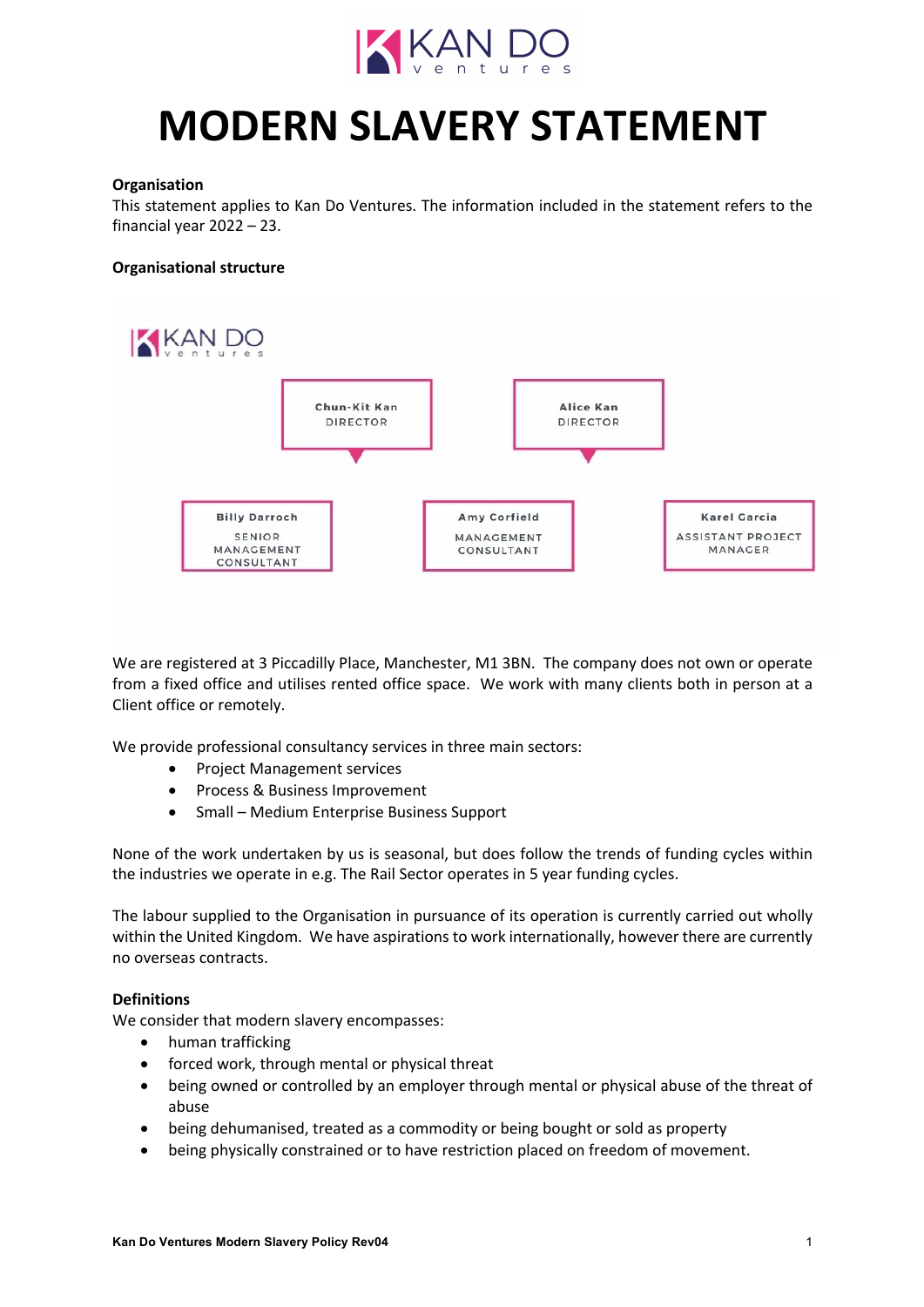

# **MODERN SLAVERY STATEMENT**

# **Organisation**

This statement applies to Kan Do Ventures. The information included in the statement refers to the financial year 2022 – 23.

## **Organisational structure**



We are registered at 3 Piccadilly Place, Manchester, M1 3BN. The company does not own or operate from a fixed office and utilises rented office space. We work with many clients both in person at a Client office or remotely.

We provide professional consultancy services in three main sectors:

- Project Management services
- Process & Business Improvement
- Small Medium Enterprise Business Support

None of the work undertaken by us is seasonal, but does follow the trends of funding cycles within the industries we operate in e.g. The Rail Sector operates in 5 year funding cycles.

The labour supplied to the Organisation in pursuance of its operation is currently carried out wholly within the United Kingdom. We have aspirations to work internationally, however there are currently no overseas contracts.

#### **Definitions**

We consider that modern slavery encompasses:

- human trafficking
- forced work, through mental or physical threat
- being owned or controlled by an employer through mental or physical abuse of the threat of abuse
- being dehumanised, treated as a commodity or being bought or sold as property
- being physically constrained or to have restriction placed on freedom of movement.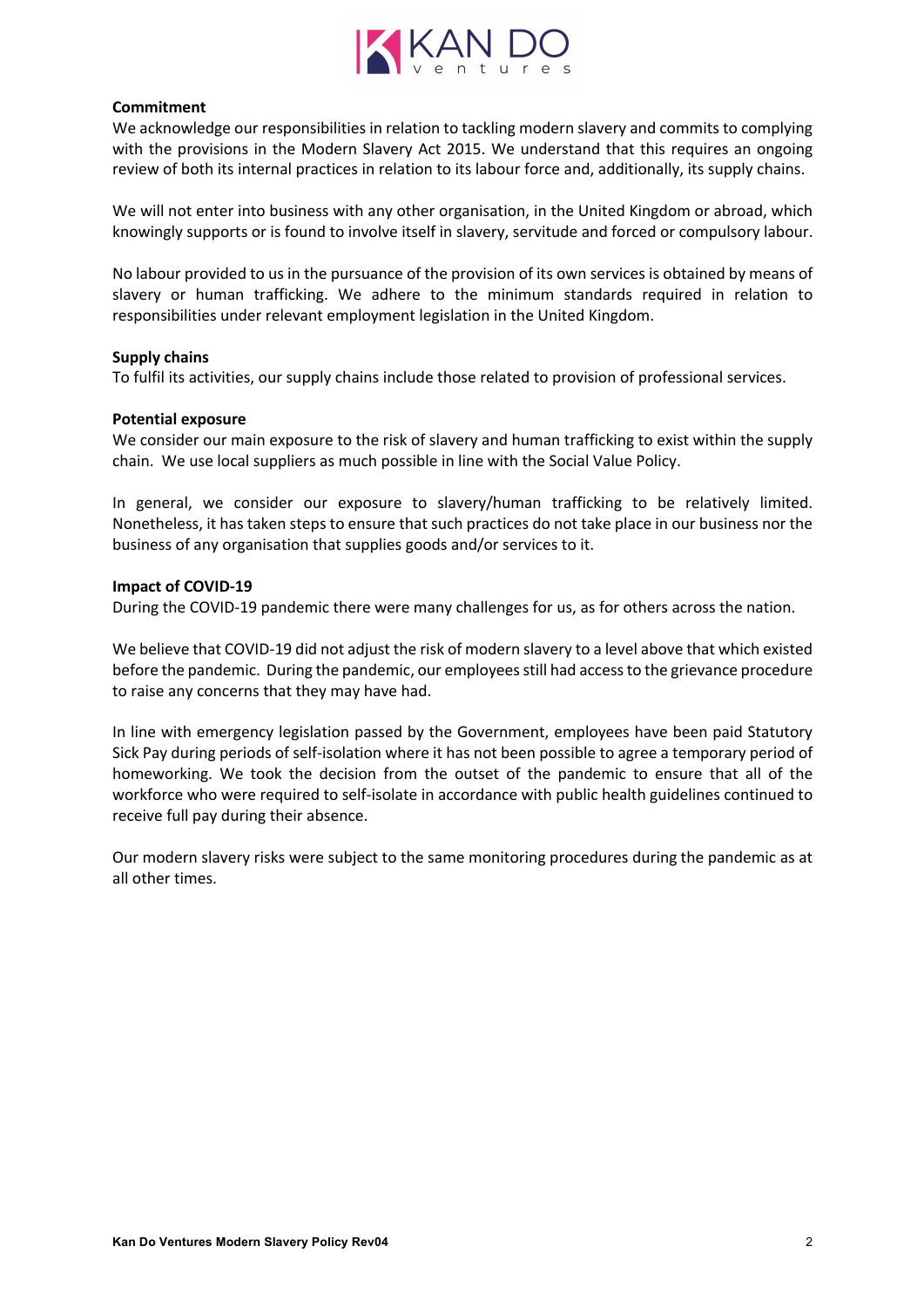

## **Commitment**

We acknowledge our responsibilities in relation to tackling modern slavery and commits to complying with the provisions in the Modern Slavery Act 2015. We understand that this requires an ongoing review of both its internal practices in relation to its labour force and, additionally, its supply chains.

We will not enter into business with any other organisation, in the United Kingdom or abroad, which knowingly supports or is found to involve itself in slavery, servitude and forced or compulsory labour.

No labour provided to us in the pursuance of the provision of its own services is obtained by means of slavery or human trafficking. We adhere to the minimum standards required in relation to responsibilities under relevant employment legislation in the United Kingdom.

#### **Supply chains**

To fulfil its activities, our supply chains include those related to provision of professional services.

#### **Potential exposure**

We consider our main exposure to the risk of slavery and human trafficking to exist within the supply chain. We use local suppliers as much possible in line with the Social Value Policy.

In general, we consider our exposure to slavery/human trafficking to be relatively limited. Nonetheless, it has taken steps to ensure that such practices do not take place in our business nor the business of any organisation that supplies goods and/or services to it.

## **Impact of COVID-19**

During the COVID-19 pandemic there were many challenges for us, as for others across the nation.

We believe that COVID-19 did not adjust the risk of modern slavery to a level above that which existed before the pandemic. During the pandemic, our employees still had access to the grievance procedure to raise any concerns that they may have had.

In line with emergency legislation passed by the Government, employees have been paid Statutory Sick Pay during periods of self-isolation where it has not been possible to agree a temporary period of homeworking. We took the decision from the outset of the pandemic to ensure that all of the workforce who were required to self-isolate in accordance with public health guidelines continued to receive full pay during their absence.

Our modern slavery risks were subject to the same monitoring procedures during the pandemic as at all other times.